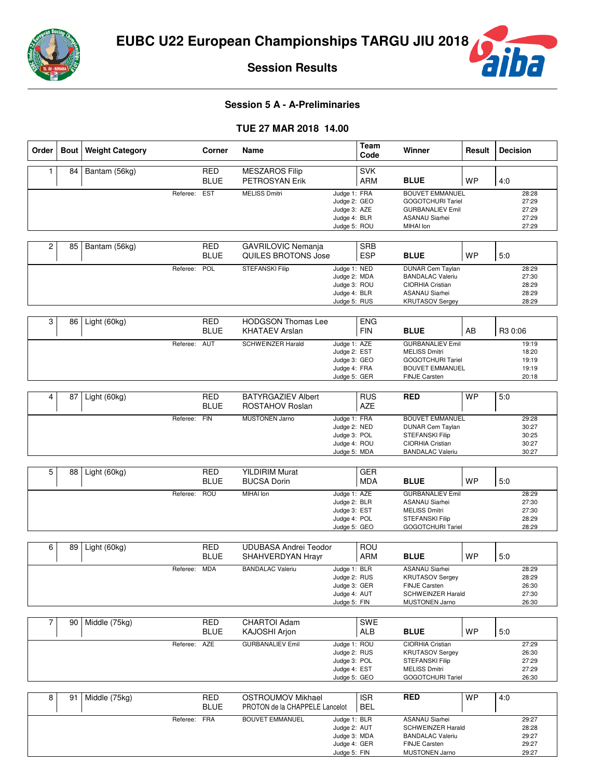

iba

**Session Results**

# **Session 5 A - A-Preliminaries**

### **TUE 27 MAR 2018 14.00**

| Order | Bout | <b>Weight Category</b> |              | Corner                    | Name                                                       |                                                                              | Team<br>Code             | Winner                                                                                                                            | Result    | <b>Decision</b>                           |
|-------|------|------------------------|--------------|---------------------------|------------------------------------------------------------|------------------------------------------------------------------------------|--------------------------|-----------------------------------------------------------------------------------------------------------------------------------|-----------|-------------------------------------------|
| 1     | 84   | Bantam (56kg)          |              | <b>RED</b><br><b>BLUE</b> | <b>MESZAROS Filip</b><br>PETROSYAN Erik                    |                                                                              | <b>SVK</b><br>ARM        | <b>BLUE</b>                                                                                                                       | <b>WP</b> | 4:0                                       |
|       |      |                        | Referee:     | <b>EST</b>                | <b>MELISS Dmitri</b>                                       | Judge 1: FRA<br>Judge 2: GEO<br>Judge 3: AZE<br>Judge 4: BLR<br>Judge 5: ROU |                          | <b>BOUVET EMMANUEL</b><br><b>GOGOTCHURI Tariel</b><br><b>GURBANALIEV Emil</b><br><b>ASANAU Siarhei</b><br>MIHAI Ion               |           | 28:28<br>27:29<br>27:29<br>27:29<br>27:29 |
| 2     | 85   | Bantam (56kg)          |              | <b>RED</b><br><b>BLUE</b> | GAVRILOVIC Nemanja<br>QUILES BROTONS Jose                  |                                                                              | <b>SRB</b><br><b>ESP</b> | <b>BLUE</b>                                                                                                                       | <b>WP</b> | 5.0                                       |
|       |      |                        | Referee:     | POL                       | STEFANSKI Filip                                            | Judge 1: NED<br>Judge 2: MDA<br>Judge 3: ROU<br>Judge 4: BLR<br>Judge 5: RUS |                          | <b>DUNAR Cem Taylan</b><br><b>BANDALAC Valeriu</b><br>CIORHIA Cristian<br><b>ASANAU Siarhei</b><br><b>KRUTASOV Sergey</b>         |           | 28:29<br>27:30<br>28:29<br>28:29<br>28:29 |
| 3     | 86   | Light (60kg)           |              | <b>RED</b><br><b>BLUE</b> | <b>HODGSON Thomas Lee</b><br><b>KHATAEV Arslan</b>         |                                                                              | <b>ENG</b><br><b>FIN</b> | <b>BLUE</b>                                                                                                                       | AB        | R3 0:06                                   |
|       |      |                        | Referee:     | AUT                       | <b>SCHWEINZER Harald</b>                                   | Judge 1: AZE<br>Judge 2: EST<br>Judge 3: GEO<br>Judge 4: FRA<br>Judge 5: GER |                          | <b>GURBANALIEV Emil</b><br><b>MELISS Dmitri</b><br><b>GOGOTCHURI Tariel</b><br><b>BOUVET EMMANUEL</b><br>FINJE Carsten            |           | 19:19<br>18:20<br>19:19<br>19:19<br>20:18 |
| 4     | 87   | Light (60kg)           |              | <b>RED</b><br><b>BLUE</b> | <b>BATYRGAZIEV Albert</b><br>ROSTAHOV Roslan               |                                                                              | <b>RUS</b><br><b>AZE</b> | <b>RED</b>                                                                                                                        | <b>WP</b> | 5.0                                       |
|       |      |                        | Referee:     | <b>FIN</b>                | <b>MUSTONEN Jarno</b>                                      | Judge 1: FRA<br>Judge 2: NED<br>Judge 3: POL<br>Judge 4: ROU<br>Judge 5: MDA |                          | <b>BOUVET EMMANUEL</b><br><b>DUNAR Cem Taylan</b><br><b>STEFANSKI Filip</b><br><b>CIORHIA Cristian</b><br><b>BANDALAC Valeriu</b> |           | 29:28<br>30:27<br>30:25<br>30:27<br>30:27 |
| 5     | 88   | Light (60kg)           |              | <b>RED</b>                | <b>YILDIRIM Murat</b>                                      |                                                                              | <b>GER</b>               |                                                                                                                                   |           |                                           |
|       |      |                        |              | <b>BLUE</b>               | <b>BUCSA Dorin</b>                                         |                                                                              | <b>MDA</b>               | <b>BLUE</b>                                                                                                                       | <b>WP</b> | 5:0                                       |
|       |      |                        | Referee:     | <b>ROU</b>                | MIHAI Ion                                                  | Judge 1: AZE<br>Judge 2: BLR<br>Judge 3: EST<br>Judge 4: POL<br>Judge 5: GEO |                          | <b>GURBANALIEV Emil</b><br><b>ASANAU Siarhei</b><br><b>MELISS Dmitri</b><br><b>STEFANSKI Filip</b><br><b>GOGOTCHURI Tariel</b>    |           | 28:29<br>27:30<br>27:30<br>28:29<br>28:29 |
| 6     | 89   | Light (60kg)           |              | <b>RED</b><br><b>BLUE</b> | <b>UDUBASA Andrei Teodor</b><br>SHAHVERDYAN Hrayr          |                                                                              | <b>ROU</b><br>ARM        | <b>BLUE</b>                                                                                                                       | <b>WP</b> | 5.0                                       |
|       |      |                        | Referee:     | <b>MDA</b>                | <b>BANDALAC Valeriu</b>                                    | Judge 1: BLR<br>Judge 2: RUS<br>Judge 3: GER<br>Judge 4: AUT<br>Judge 5: FIN |                          | <b>ASANAU Siarhei</b><br><b>KRUTASOV Sergey</b><br><b>FINJE Carsten</b><br>SCHWEINZER Harald<br><b>MUSTONEN Jarno</b>             |           | 28:29<br>28:29<br>26:30<br>27:30<br>26:30 |
| 7     | 90   | Middle (75kg)          |              | <b>RED</b><br><b>BLUE</b> | <b>CHARTOI Adam</b><br>KAJOSHI Arjon                       |                                                                              | <b>SWE</b><br>ALB        | <b>BLUE</b>                                                                                                                       | <b>WP</b> | 5:0                                       |
|       |      |                        | Referee:     | AZE                       | <b>GURBANALIEV Emil</b>                                    | Judge 1: ROU<br>Judge 2: RUS<br>Judge 3: POL<br>Judge 4: EST<br>Judge 5: GEO |                          | CIORHIA Cristian<br><b>KRUTASOV Sergey</b><br><b>STEFANSKI Filip</b><br><b>MELISS Dmitri</b><br><b>GOGOTCHURI Tariel</b>          |           | 27:29<br>26:30<br>27:29<br>27:29<br>26:30 |
| 8     | 91   | Middle (75kg)          |              | <b>RED</b><br><b>BLUE</b> | <b>OSTROUMOV Mikhael</b><br>PROTON de la CHAPPELE Lancelot |                                                                              | <b>ISR</b><br><b>BEL</b> | <b>RED</b>                                                                                                                        | <b>WP</b> | 4:0                                       |
|       |      |                        | Referee: FRA |                           | <b>BOUVET EMMANUEL</b>                                     | Judge 1: BLR<br>Judge 2: AUT<br>Judge 3: MDA<br>Judge 4: GER<br>Judge 5: FIN |                          | <b>ASANAU Siarhei</b><br><b>SCHWEINZER Harald</b><br><b>BANDALAC Valeriu</b><br>FINJE Carsten<br><b>MUSTONEN Jarno</b>            |           | 29:27<br>28:28<br>29:27<br>29:27<br>29:27 |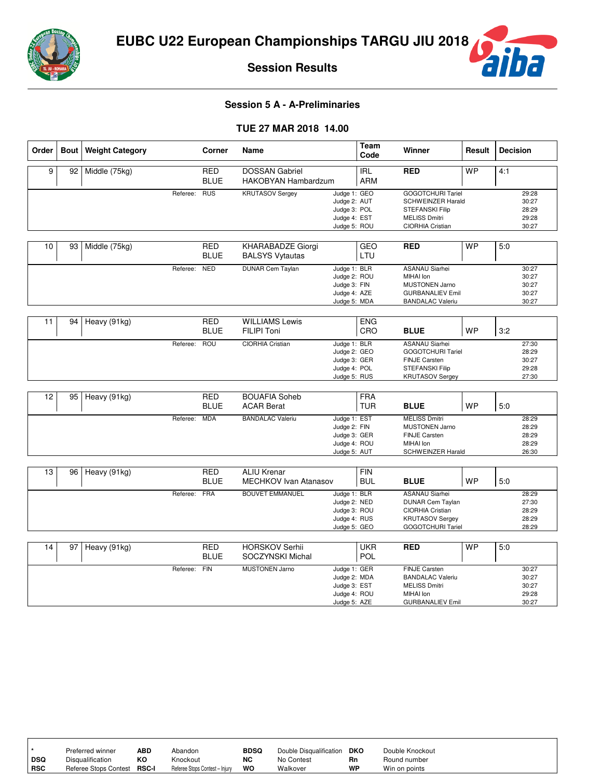

ba

Τ

T

T,

**Session Results**

## **Session 5 A - A-Preliminaries**

### **TUE 27 MAR 2018 14.00**

| Order           | <b>Bout</b> | <b>Weight Category</b> |          | Corner      | Name                         |                              | Team<br>Code | Winner                               | Result    | <b>Decision</b> |
|-----------------|-------------|------------------------|----------|-------------|------------------------------|------------------------------|--------------|--------------------------------------|-----------|-----------------|
| 9               | 92          | Middle (75kg)          |          | <b>RED</b>  | <b>DOSSAN Gabriel</b>        |                              | <b>IRL</b>   | <b>RED</b>                           | <b>WP</b> | 4:1             |
|                 |             |                        |          | <b>BLUE</b> | HAKOBYAN Hambardzum          |                              | ARM          |                                      |           |                 |
|                 |             |                        | Referee: | <b>RUS</b>  | <b>KRUTASOV Sergey</b>       | Judge 1: GEO                 |              | <b>GOGOTCHURI Tariel</b>             |           | 29:28           |
|                 |             |                        |          |             |                              | Judge 2: AUT                 |              | <b>SCHWEINZER Harald</b>             |           | 30:27           |
|                 |             |                        |          |             |                              | Judge 3: POL                 |              | <b>STEFANSKI Filip</b>               |           | 28:29           |
|                 |             |                        |          |             |                              | Judge 4: EST                 |              | <b>MELISS Dmitri</b>                 |           | 29:28           |
|                 |             |                        |          |             |                              | Judge 5: ROU                 |              | <b>CIORHIA Cristian</b>              |           | 30:27           |
| 10              | 93          | Middle (75kg)          |          | <b>RED</b>  | KHARABADZE Giorgi            |                              | <b>GEO</b>   | <b>RED</b>                           | <b>WP</b> | 5.0             |
|                 |             |                        |          | <b>BLUE</b> | <b>BALSYS Vytautas</b>       |                              | LTU          |                                      |           |                 |
|                 |             |                        | Referee: | <b>NED</b>  | <b>DUNAR Cem Taylan</b>      | Judge 1: BLR                 |              | <b>ASANAU Siarhei</b>                |           | 30:27           |
|                 |             |                        |          |             |                              | Judge 2: ROU                 |              | MIHAI Ion                            |           | 30:27           |
|                 |             |                        |          |             |                              | Judge 3: FIN                 |              | <b>MUSTONEN Jarno</b>                |           | 30:27           |
|                 |             |                        |          |             |                              | Judge 4: AZE                 |              | <b>GURBANALIEV Emil</b>              |           | 30:27           |
|                 |             |                        |          |             |                              | Judge 5: MDA                 |              | <b>BANDALAC Valeriu</b>              |           | 30:27           |
|                 | 94          |                        |          | <b>RED</b>  | <b>WILLIAMS Lewis</b>        |                              | <b>ENG</b>   |                                      |           |                 |
| 11              |             | Heavy (91kg)           |          |             |                              |                              |              |                                      |           |                 |
|                 |             |                        |          | <b>BLUE</b> | <b>FILIPI Toni</b>           |                              | CRO          | <b>BLUE</b>                          | <b>WP</b> | 3:2             |
|                 |             |                        | Referee: | <b>ROU</b>  | <b>CIORHIA Cristian</b>      | Judge 1: BLR                 |              | <b>ASANAU Siarhei</b>                |           | 27:30           |
|                 |             |                        |          |             |                              | Judge 2: GEO                 |              | GOGOTCHURI Tariel                    |           | 28:29           |
|                 |             |                        |          |             |                              | Judge 3: GER                 |              | <b>FINJE Carsten</b>                 |           | 30:27           |
|                 |             |                        |          |             |                              | Judge 4: POL                 |              | <b>STEFANSKI Filip</b>               |           | 29:28           |
|                 |             |                        |          |             |                              | Judge 5: RUS                 |              | <b>KRUTASOV Sergey</b>               |           | 27:30           |
| $\overline{12}$ | 95          | Heavy (91kg)           |          | <b>RED</b>  | <b>BOUAFIA Soheb</b>         |                              | <b>FRA</b>   |                                      |           |                 |
|                 |             |                        |          | <b>BLUE</b> | <b>ACAR Berat</b>            |                              | <b>TUR</b>   | <b>BLUE</b>                          | <b>WP</b> | 5:0             |
|                 |             |                        |          |             |                              |                              |              | <b>MELISS Dmitri</b>                 |           |                 |
|                 |             |                        | Referee: | <b>MDA</b>  | <b>BANDALAC Valeriu</b>      | Judge 1: EST                 |              | <b>MUSTONEN Jarno</b>                |           | 28:29<br>28:29  |
|                 |             |                        |          |             |                              | Judge 2: FIN<br>Judge 3: GER |              | <b>FINJE Carsten</b>                 |           | 28:29           |
|                 |             |                        |          |             |                              | Judge 4: ROU                 |              | MIHAI Ion                            |           | 28:29           |
|                 |             |                        |          |             |                              | Judge 5: AUT                 |              | <b>SCHWEINZER Harald</b>             |           | 26:30           |
|                 |             |                        |          |             |                              |                              |              |                                      |           |                 |
| 13              | 96          | Heavy (91kg)           |          | <b>RED</b>  | <b>ALIU Krenar</b>           |                              | <b>FIN</b>   |                                      |           |                 |
|                 |             |                        |          | <b>BLUE</b> | <b>MECHKOV Ivan Atanasov</b> |                              | <b>BUL</b>   | <b>BLUE</b>                          | <b>WP</b> | 5.0             |
|                 |             |                        | Referee: | FRA         | <b>BOUVET EMMANUEL</b>       | Judge 1: BLR                 |              | <b>ASANAU Siarhei</b>                |           | 28:29           |
|                 |             |                        |          |             |                              | Judge 2: NED                 |              | <b>DUNAR Cem Taylan</b>              |           | 27:30           |
|                 |             |                        |          |             |                              | Judge 3: ROU                 |              | CIORHIA Cristian                     |           | 28:29           |
|                 |             |                        |          |             |                              | Judge 4: RUS                 |              | <b>KRUTASOV Sergey</b>               |           | 28:29           |
|                 |             |                        |          |             |                              | Judge 5: GEO                 |              | <b>GOGOTCHURI Tariel</b>             |           | 28:29           |
| 14              | 97          | Heavy (91kg)           |          | <b>RED</b>  | <b>HORSKOV Serhii</b>        |                              | <b>UKR</b>   | <b>RED</b>                           | <b>WP</b> | 5:0             |
|                 |             |                        |          |             |                              |                              |              |                                      |           |                 |
|                 |             |                        |          | <b>BLUE</b> | SOCZYNSKI Michal             |                              | <b>POL</b>   |                                      |           |                 |
|                 |             |                        | Referee: | <b>FIN</b>  | <b>MUSTONEN Jarno</b>        | Judge 1: GER                 |              | <b>FINJE Carsten</b>                 |           | 30:27           |
|                 |             |                        |          |             |                              | Judge 2: MDA                 |              | <b>BANDALAC Valeriu</b>              |           | 30:27           |
|                 |             |                        |          |             |                              | Judge 3: EST                 |              | <b>MELISS Dmitri</b>                 |           | 30:27           |
|                 |             |                        |          |             |                              | Judge 4: ROU                 |              | MIHAI Ion<br><b>GURBANALIEV Emil</b> |           | 29:28<br>30:27  |
|                 |             |                        |          |             |                              | Judge 5: AZE                 |              |                                      |           |                 |

|     | Preferred winner        | ABD          | Abandon                        | <b>BDSQ</b> | Double Disqualification | DKO | Double Knockout |
|-----|-------------------------|--------------|--------------------------------|-------------|-------------------------|-----|-----------------|
| DSQ | <b>Disqualification</b> | ĸо           | Knockout                       | NC          | No Contest              | Rn  | Round number    |
| RSC | Referee Stops Contest   | <b>RSC-I</b> | Referee Stops Contest - Injury | wo          | Walkover                | WP  | Win on points   |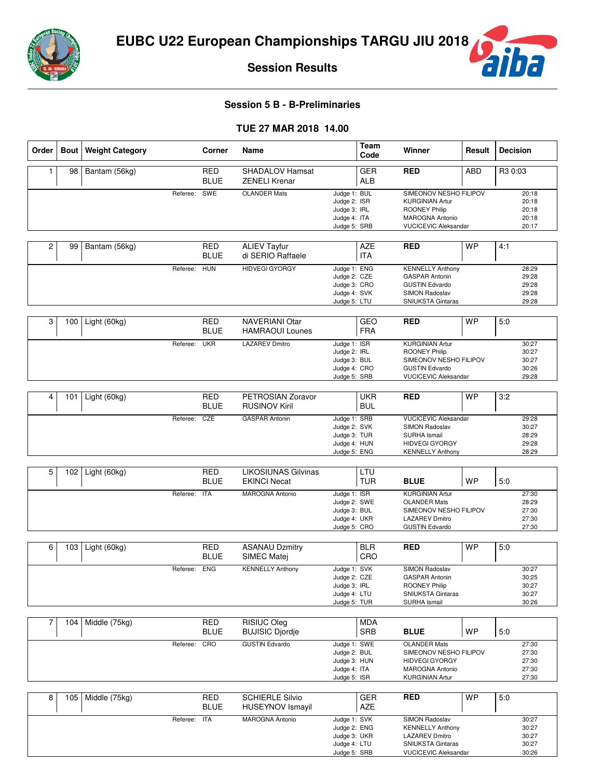

**Session Results**

# **Session 5 B - B-Preliminaries**

### **TUE 27 MAR 2018 14.00**

| Order          | <b>Bout</b> | <b>Weight Category</b> |              | Corner                    | Name                                              |                                                                              | <b>Team</b><br>Code      | Winner                                                                                                                           | Result     | <b>Decision</b>                           |
|----------------|-------------|------------------------|--------------|---------------------------|---------------------------------------------------|------------------------------------------------------------------------------|--------------------------|----------------------------------------------------------------------------------------------------------------------------------|------------|-------------------------------------------|
| 1              | 98          | Bantam (56kg)          |              | <b>RED</b><br><b>BLUE</b> | <b>SHADALOV Hamsat</b><br><b>ZENELI Krenar</b>    |                                                                              | <b>GER</b><br><b>ALB</b> | <b>RED</b>                                                                                                                       | <b>ABD</b> | R3 0:03                                   |
|                |             |                        | Referee:     | SWE                       | <b>OLANDER Mats</b>                               | Judge 1: BUL<br>Judge 2: ISR<br>Judge 3: IRL<br>Judge 4: ITA<br>Judge 5: SRB |                          | SIMEONOV NESHO FILIPOV<br><b>KURGINIAN Artur</b><br>ROONEY Philip<br>MAROGNA Antonio<br><b>VUCICEVIC Aleksandar</b>              |            | 20:18<br>20:18<br>20:18<br>20:18<br>20:17 |
| $\overline{c}$ | 99          | Bantam (56kg)          |              | <b>RED</b><br><b>BLUE</b> | <b>ALIEV Tayfur</b><br>di SERIO Raffaele          |                                                                              | <b>AZE</b><br><b>ITA</b> | <b>RED</b>                                                                                                                       | <b>WP</b>  | 4:1                                       |
|                |             |                        | Referee:     | <b>HUN</b>                | <b>HIDVEGI GYORGY</b>                             | Judge 1: ENG<br>Judge 2: CZE<br>Judge 3: CRO<br>Judge 4: SVK<br>Judge 5: LTU |                          | <b>KENNELLY Anthony</b><br><b>GASPAR Antonin</b><br><b>GUSTIN Edvardo</b><br>SIMON Radoslav<br><b>SNIUKSTA Gintaras</b>          |            | 28:29<br>29:28<br>29:28<br>29:28<br>29:28 |
| 3              | 100         | Light (60kg)           |              | <b>RED</b><br><b>BLUE</b> | <b>NAVERIANI Otar</b><br><b>HAMRAOUI Lounes</b>   |                                                                              | GEO<br><b>FRA</b>        | <b>RED</b>                                                                                                                       | <b>WP</b>  | 5.0                                       |
|                |             |                        | Referee:     | <b>UKR</b>                | <b>LAZAREV Dmitro</b>                             | Judge 1: ISR<br>Judge 2: IRL<br>Judge 3: BUL<br>Judge 4: CRO<br>Judge 5: SRB |                          | <b>KURGINIAN Artur</b><br><b>ROONEY Philip</b><br>SIMEONOV NESHO FILIPOV<br><b>GUSTIN Edvardo</b><br><b>VUCICEVIC Aleksandar</b> |            | 30:27<br>30:27<br>30:27<br>30:26<br>29:28 |
| 4              | 101         | Light (60kg)           |              | <b>RED</b><br><b>BLUE</b> | PETROSIAN Zoravor<br><b>RUSINOV Kiril</b>         |                                                                              | <b>UKR</b><br><b>BUL</b> | <b>RED</b>                                                                                                                       | <b>WP</b>  | 3:2                                       |
|                |             |                        | Referee:     | CZE                       | <b>GASPAR Antonin</b>                             | Judge 1: SRB<br>Judge 2: SVK<br>Judge 3: TUR<br>Judge 4: HUN<br>Judge 5: ENG |                          | <b>VUCICEVIC Aleksandar</b><br>SIMON Radoslav<br><b>SURHA Ismail</b><br><b>HIDVEGI GYORGY</b><br><b>KENNELLY Anthony</b>         |            | 29:28<br>30:27<br>28:29<br>29:28<br>28:29 |
| 5              | 102         | Light (60kg)           |              | <b>RED</b><br><b>BLUE</b> | <b>LIKOSIUNAS Gilvinas</b><br><b>EKINCI Necat</b> |                                                                              | LTU<br><b>TUR</b>        | <b>BLUE</b>                                                                                                                      | <b>WP</b>  | 5.0                                       |
|                |             |                        | Referee:     | <b>ITA</b>                | <b>MAROGNA Antonio</b>                            | Judge 1: ISR<br>Judge 2: SWE<br>Judge 3: BUL<br>Judge 4: UKR<br>Judge 5: CRO |                          | <b>KURGINIAN Artur</b><br><b>OLANDER Mats</b><br>SIMEONOV NESHO FILIPOV<br><b>LAZAREV Dmitro</b><br><b>GUSTIN Edvardo</b>        |            | 27:30<br>28:29<br>27:30<br>27:30<br>27:30 |
| 6              | 103         | Light (60kg)           |              | <b>RED</b>                | <b>ASANAU Dzmitry</b>                             |                                                                              | <b>BLR</b>               | <b>RED</b>                                                                                                                       | <b>WP</b>  | 5:0                                       |
|                |             |                        | Referee:     | <b>BLUE</b><br><b>ENG</b> | SIMEC Matej<br><b>KENNELLY Anthony</b>            | Judge 1: SVK<br>Judge 2: CZE<br>Judge 3: IRL<br>Judge 4: LTU<br>Judge 5: TUR | CRO                      | SIMON Radoslav<br><b>GASPAR Antonin</b><br>ROONEY Philip<br>SNIUKSTA Gintaras<br>SURHA Ismail                                    |            | 30:27<br>30:25<br>30:27<br>30:27<br>30:26 |
| $\overline{7}$ | 104         | Middle (75kg)          |              | <b>RED</b><br><b>BLUE</b> | RISIUC Oleg<br><b>BUJISIC Djordje</b>             |                                                                              | <b>MDA</b><br>SRB        | <b>BLUE</b>                                                                                                                      | <b>WP</b>  | 5:0                                       |
|                |             |                        | Referee:     | CRO                       | <b>GUSTIN Edvardo</b>                             | Judge 1: SWE<br>Judge 2: BUL<br>Judge 3: HUN<br>Judge 4: ITA<br>Judge 5: ISR |                          | <b>OLANDER Mats</b><br>SIMEONOV NESHO FILIPOV<br><b>HIDVEGI GYORGY</b><br>MAROGNA Antonio<br><b>KURGINIAN Artur</b>              |            | 27:30<br>27:30<br>27:30<br>27:30<br>27:30 |
| 8              | 105         | Middle (75kg)          |              | <b>RED</b><br><b>BLUE</b> | <b>SCHIERLE Silvio</b><br><b>HUSEYNOV Ismayil</b> |                                                                              | <b>GER</b><br>AZE        | <b>RED</b>                                                                                                                       | WP         | 5:0                                       |
|                |             |                        | Referee: ITA |                           | <b>MAROGNA Antonio</b>                            | Judge 1: SVK<br>Judge 2: ENG<br>Judge 3: UKR<br>Judge 4: LTU<br>Judge 5: SRB |                          | SIMON Radoslav<br><b>KENNELLY Anthony</b><br>LAZAREV Dmitro<br>SNIUKSTA Gintaras<br><b>VUCICEVIC Aleksandar</b>                  |            | 30:27<br>30:27<br>30:27<br>30:27<br>30:26 |

**Tha**